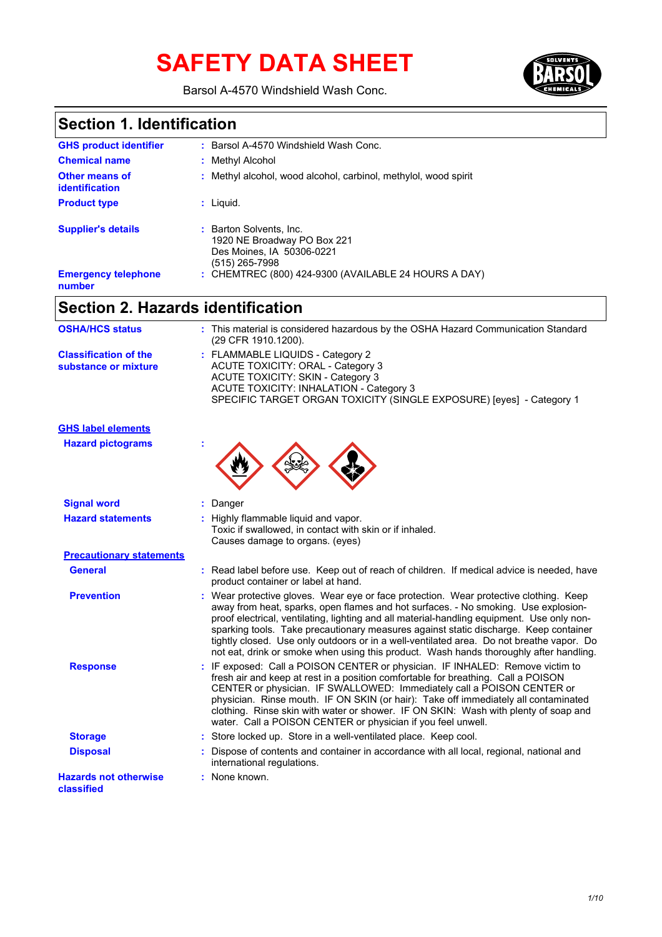# **SAFETY DATA SHEET**



Barsol A-4570 Windshield Wash Conc.

### **Section 1. Identification**

| <b>GHS product identifier</b>                  | : Barsol A-4570 Windshield Wash Conc.                                                                 |
|------------------------------------------------|-------------------------------------------------------------------------------------------------------|
| <b>Chemical name</b>                           | : Methyl Alcohol                                                                                      |
| <b>Other means of</b><br><b>identification</b> | : Methyl alcohol, wood alcohol, carbinol, methylol, wood spirit                                       |
| <b>Product type</b>                            | : Liquid.                                                                                             |
| <b>Supplier's details</b>                      | : Barton Solvents, Inc.<br>1920 NE Broadway PO Box 221<br>Des Moines, IA 50306-0221<br>(515) 265-7998 |
| <b>Emergency telephone</b><br>number           | : CHEMTREC (800) 424-9300 (AVAILABLE 24 HOURS A DAY)                                                  |

## **Section 2. Hazards identification**

| <b>OSHA/HCS status</b>                               | : This material is considered hazardous by the OSHA Hazard Communication Standard<br>(29 CFR 1910.1200).                                                                                                                                                                                                                                                                                                                                                                                                                                                |
|------------------------------------------------------|---------------------------------------------------------------------------------------------------------------------------------------------------------------------------------------------------------------------------------------------------------------------------------------------------------------------------------------------------------------------------------------------------------------------------------------------------------------------------------------------------------------------------------------------------------|
| <b>Classification of the</b><br>substance or mixture | : FLAMMABLE LIQUIDS - Category 2<br>ACUTE TOXICITY: ORAL - Category 3<br><b>ACUTE TOXICITY: SKIN - Category 3</b><br><b>ACUTE TOXICITY: INHALATION - Category 3</b><br>SPECIFIC TARGET ORGAN TOXICITY (SINGLE EXPOSURE) [eyes] - Category 1                                                                                                                                                                                                                                                                                                             |
| <b>GHS label elements</b>                            |                                                                                                                                                                                                                                                                                                                                                                                                                                                                                                                                                         |
| <b>Hazard pictograms</b>                             |                                                                                                                                                                                                                                                                                                                                                                                                                                                                                                                                                         |
| <b>Signal word</b>                                   | Danger                                                                                                                                                                                                                                                                                                                                                                                                                                                                                                                                                  |
| <b>Hazard statements</b>                             | Highly flammable liquid and vapor.<br>Toxic if swallowed, in contact with skin or if inhaled.<br>Causes damage to organs. (eyes)                                                                                                                                                                                                                                                                                                                                                                                                                        |
| <b>Precautionary statements</b>                      |                                                                                                                                                                                                                                                                                                                                                                                                                                                                                                                                                         |
| <b>General</b>                                       | : Read label before use. Keep out of reach of children. If medical advice is needed, have<br>product container or label at hand.                                                                                                                                                                                                                                                                                                                                                                                                                        |
| <b>Prevention</b>                                    | : Wear protective gloves. Wear eye or face protection. Wear protective clothing. Keep<br>away from heat, sparks, open flames and hot surfaces. - No smoking. Use explosion-<br>proof electrical, ventilating, lighting and all material-handling equipment. Use only non-<br>sparking tools. Take precautionary measures against static discharge. Keep container<br>tightly closed. Use only outdoors or in a well-ventilated area. Do not breathe vapor. Do<br>not eat, drink or smoke when using this product. Wash hands thoroughly after handling. |
| <b>Response</b>                                      | : IF exposed: Call a POISON CENTER or physician. IF INHALED: Remove victim to<br>fresh air and keep at rest in a position comfortable for breathing. Call a POISON<br>CENTER or physician. IF SWALLOWED: Immediately call a POISON CENTER or<br>physician. Rinse mouth. IF ON SKIN (or hair): Take off immediately all contaminated<br>clothing. Rinse skin with water or shower. IF ON SKIN: Wash with plenty of soap and<br>water. Call a POISON CENTER or physician if you feel unwell.                                                              |
| <b>Storage</b>                                       | : Store locked up. Store in a well-ventilated place. Keep cool.                                                                                                                                                                                                                                                                                                                                                                                                                                                                                         |
| <b>Disposal</b>                                      | : Dispose of contents and container in accordance with all local, regional, national and<br>international regulations.                                                                                                                                                                                                                                                                                                                                                                                                                                  |
| <b>Hazards not otherwise</b><br>classified           | : None known.                                                                                                                                                                                                                                                                                                                                                                                                                                                                                                                                           |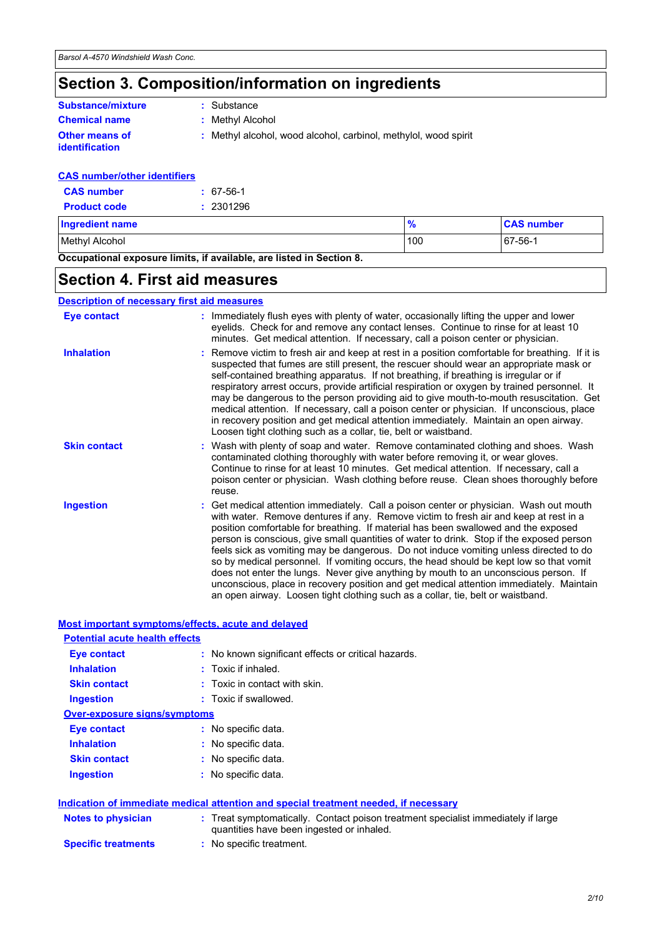### **Section 3. Composition/information on ingredients**

| Substance/mixture        |
|--------------------------|
| <b>Chemical name</b>     |
| <b>Other means of</b>    |
| المستطرف والكالك ومساويا |

**:** Substance

**:** Methyl Alcohol

**identification**

**:** Methyl alcohol, wood alcohol, carbinol, methylol, wood spirit

#### **CAS number/other identifiers**

| <b>CAS number</b>   | $: 67-56-1$ |
|---------------------|-------------|
| <b>Product code</b> | : 2301296   |

| <b>Ingredient name</b>                                               |     | <b>CAS number</b> |
|----------------------------------------------------------------------|-----|-------------------|
| Methyl Alcohol                                                       | 100 | 67-56-1           |
| Occupational exposure limits, if available, are listed in Section 8. |     |                   |

### **Section 4. First aid measures**

**Description of necessary first aid measures**

| Eye contact         | : Immediately flush eyes with plenty of water, occasionally lifting the upper and lower<br>eyelids. Check for and remove any contact lenses. Continue to rinse for at least 10<br>minutes. Get medical attention. If necessary, call a poison center or physician.                                                                                                                                                                                                                                                                                                                                                                                                                                                                                                                                                       |  |
|---------------------|--------------------------------------------------------------------------------------------------------------------------------------------------------------------------------------------------------------------------------------------------------------------------------------------------------------------------------------------------------------------------------------------------------------------------------------------------------------------------------------------------------------------------------------------------------------------------------------------------------------------------------------------------------------------------------------------------------------------------------------------------------------------------------------------------------------------------|--|
| <b>Inhalation</b>   | : Remove victim to fresh air and keep at rest in a position comfortable for breathing. If it is<br>suspected that fumes are still present, the rescuer should wear an appropriate mask or<br>self-contained breathing apparatus. If not breathing, if breathing is irregular or if<br>respiratory arrest occurs, provide artificial respiration or oxygen by trained personnel. It<br>may be dangerous to the person providing aid to give mouth-to-mouth resuscitation. Get<br>medical attention. If necessary, call a poison center or physician. If unconscious, place<br>in recovery position and get medical attention immediately. Maintain an open airway.<br>Loosen tight clothing such as a collar, tie, belt or waistband.                                                                                     |  |
| <b>Skin contact</b> | : Wash with plenty of soap and water. Remove contaminated clothing and shoes. Wash<br>contaminated clothing thoroughly with water before removing it, or wear gloves.<br>Continue to rinse for at least 10 minutes. Get medical attention. If necessary, call a<br>poison center or physician. Wash clothing before reuse. Clean shoes thoroughly before<br>reuse.                                                                                                                                                                                                                                                                                                                                                                                                                                                       |  |
| <b>Ingestion</b>    | : Get medical attention immediately. Call a poison center or physician. Wash out mouth<br>with water. Remove dentures if any. Remove victim to fresh air and keep at rest in a<br>position comfortable for breathing. If material has been swallowed and the exposed<br>person is conscious, give small quantities of water to drink. Stop if the exposed person<br>feels sick as vomiting may be dangerous. Do not induce vomiting unless directed to do<br>so by medical personnel. If vomiting occurs, the head should be kept low so that vomit<br>does not enter the lungs. Never give anything by mouth to an unconscious person. If<br>unconscious, place in recovery position and get medical attention immediately. Maintain<br>an open airway. Loosen tight clothing such as a collar, tie, belt or waistband. |  |

#### **Most important symptoms/effects, acute and delayed**

| <b>Potential acute health effects</b> |                                                                                                                                |
|---------------------------------------|--------------------------------------------------------------------------------------------------------------------------------|
| <b>Eye contact</b>                    | : No known significant effects or critical hazards.                                                                            |
| <b>Inhalation</b>                     | $:$ Toxic if inhaled.                                                                                                          |
| <b>Skin contact</b>                   | : Toxic in contact with skin.                                                                                                  |
| Ingestion                             | : Toxic if swallowed.                                                                                                          |
| <b>Over-exposure signs/symptoms</b>   |                                                                                                                                |
| <b>Eye contact</b>                    | : No specific data.                                                                                                            |
| <b>Inhalation</b>                     | : No specific data.                                                                                                            |
| <b>Skin contact</b>                   | : No specific data.                                                                                                            |
| <b>Ingestion</b>                      | : No specific data.                                                                                                            |
|                                       | <u>Indication of immediate medical attention and special treatment needed, if necessary</u>                                    |
| <b>Notes to physician</b>             | : Treat symptomatically. Contact poison treatment specialist immediately if large<br>quantities have been ingested or inhaled. |
| <b>Specific treatments</b>            | : No specific treatment.                                                                                                       |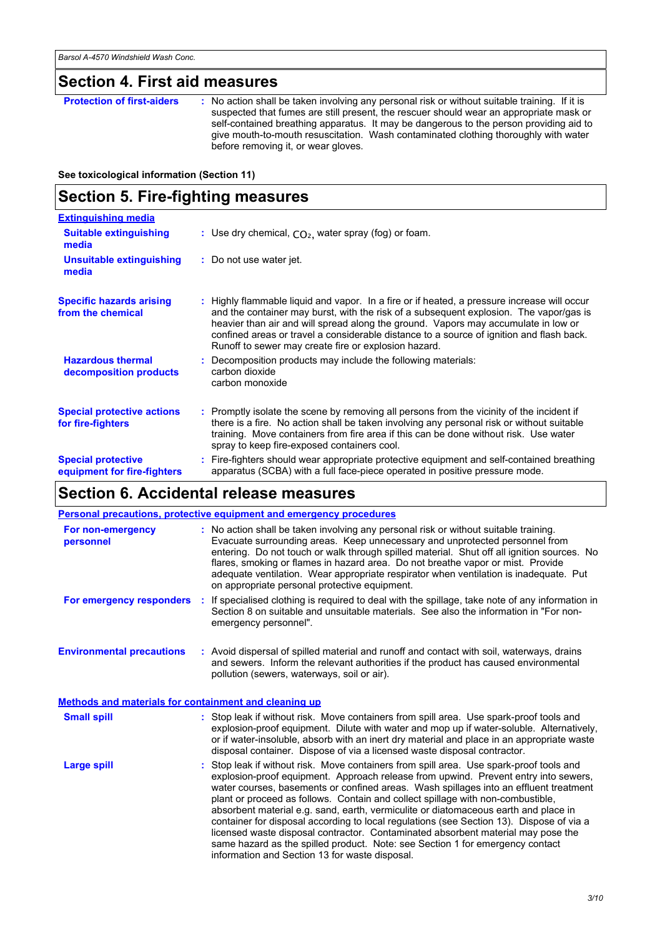#### **Section 4. First aid measures**

**Protection of first-aiders** : No action shall be taken involving any personal risk or without suitable training. If it is suspected that fumes are still present, the rescuer should wear an appropriate mask or self-contained breathing apparatus. It may be dangerous to the person providing aid to give mouth-to-mouth resuscitation. Wash contaminated clothing thoroughly with water before removing it, or wear gloves.

**See toxicological information (Section 11)**

### **Section 5. Fire-fighting measures**

| <b>Extinguishing media</b>                               |                                                                                                                                                                                                                                                                                                                                                                                                                               |
|----------------------------------------------------------|-------------------------------------------------------------------------------------------------------------------------------------------------------------------------------------------------------------------------------------------------------------------------------------------------------------------------------------------------------------------------------------------------------------------------------|
| <b>Suitable extinguishing</b><br>media                   | : Use dry chemical, $CO2$ , water spray (fog) or foam.                                                                                                                                                                                                                                                                                                                                                                        |
| <b>Unsuitable extinguishing</b><br>media                 | : Do not use water jet.                                                                                                                                                                                                                                                                                                                                                                                                       |
| <b>Specific hazards arising</b><br>from the chemical     | Highly flammable liquid and vapor. In a fire or if heated, a pressure increase will occur<br>and the container may burst, with the risk of a subsequent explosion. The vapor/gas is<br>heavier than air and will spread along the ground. Vapors may accumulate in low or<br>confined areas or travel a considerable distance to a source of ignition and flash back.<br>Runoff to sewer may create fire or explosion hazard. |
| <b>Hazardous thermal</b><br>decomposition products       | Decomposition products may include the following materials:<br>carbon dioxide<br>carbon monoxide                                                                                                                                                                                                                                                                                                                              |
| <b>Special protective actions</b><br>for fire-fighters   | : Promptly isolate the scene by removing all persons from the vicinity of the incident if<br>there is a fire. No action shall be taken involving any personal risk or without suitable<br>training. Move containers from fire area if this can be done without risk. Use water<br>spray to keep fire-exposed containers cool.                                                                                                 |
| <b>Special protective</b><br>equipment for fire-fighters | Fire-fighters should wear appropriate protective equipment and self-contained breathing<br>apparatus (SCBA) with a full face-piece operated in positive pressure mode.                                                                                                                                                                                                                                                        |

### **Section 6. Accidental release measures**

|                                                       | Personal precautions, protective equipment and emergency procedures                                                                                                                                                                                                                                                                                                                                                                                                                                                                                                                                                                                                                                                                                                |
|-------------------------------------------------------|--------------------------------------------------------------------------------------------------------------------------------------------------------------------------------------------------------------------------------------------------------------------------------------------------------------------------------------------------------------------------------------------------------------------------------------------------------------------------------------------------------------------------------------------------------------------------------------------------------------------------------------------------------------------------------------------------------------------------------------------------------------------|
| For non-emergency<br>personnel                        | : No action shall be taken involving any personal risk or without suitable training.<br>Evacuate surrounding areas. Keep unnecessary and unprotected personnel from<br>entering. Do not touch or walk through spilled material. Shut off all ignition sources. No<br>flares, smoking or flames in hazard area. Do not breathe vapor or mist. Provide<br>adequate ventilation. Wear appropriate respirator when ventilation is inadequate. Put<br>on appropriate personal protective equipment.                                                                                                                                                                                                                                                                     |
| For emergency responders                              | If specialised clothing is required to deal with the spillage, take note of any information in<br>÷.<br>Section 8 on suitable and unsuitable materials. See also the information in "For non-<br>emergency personnel".                                                                                                                                                                                                                                                                                                                                                                                                                                                                                                                                             |
| <b>Environmental precautions</b>                      | : Avoid dispersal of spilled material and runoff and contact with soil, waterways, drains<br>and sewers. Inform the relevant authorities if the product has caused environmental<br>pollution (sewers, waterways, soil or air).                                                                                                                                                                                                                                                                                                                                                                                                                                                                                                                                    |
| Methods and materials for containment and cleaning up |                                                                                                                                                                                                                                                                                                                                                                                                                                                                                                                                                                                                                                                                                                                                                                    |
| <b>Small spill</b>                                    | : Stop leak if without risk. Move containers from spill area. Use spark-proof tools and<br>explosion-proof equipment. Dilute with water and mop up if water-soluble. Alternatively,<br>or if water-insoluble, absorb with an inert dry material and place in an appropriate waste<br>disposal container. Dispose of via a licensed waste disposal contractor.                                                                                                                                                                                                                                                                                                                                                                                                      |
| <b>Large spill</b>                                    | Stop leak if without risk. Move containers from spill area. Use spark-proof tools and<br>explosion-proof equipment. Approach release from upwind. Prevent entry into sewers,<br>water courses, basements or confined areas. Wash spillages into an effluent treatment<br>plant or proceed as follows. Contain and collect spillage with non-combustible,<br>absorbent material e.g. sand, earth, vermiculite or diatomaceous earth and place in<br>container for disposal according to local regulations (see Section 13). Dispose of via a<br>licensed waste disposal contractor. Contaminated absorbent material may pose the<br>same hazard as the spilled product. Note: see Section 1 for emergency contact<br>information and Section 13 for waste disposal. |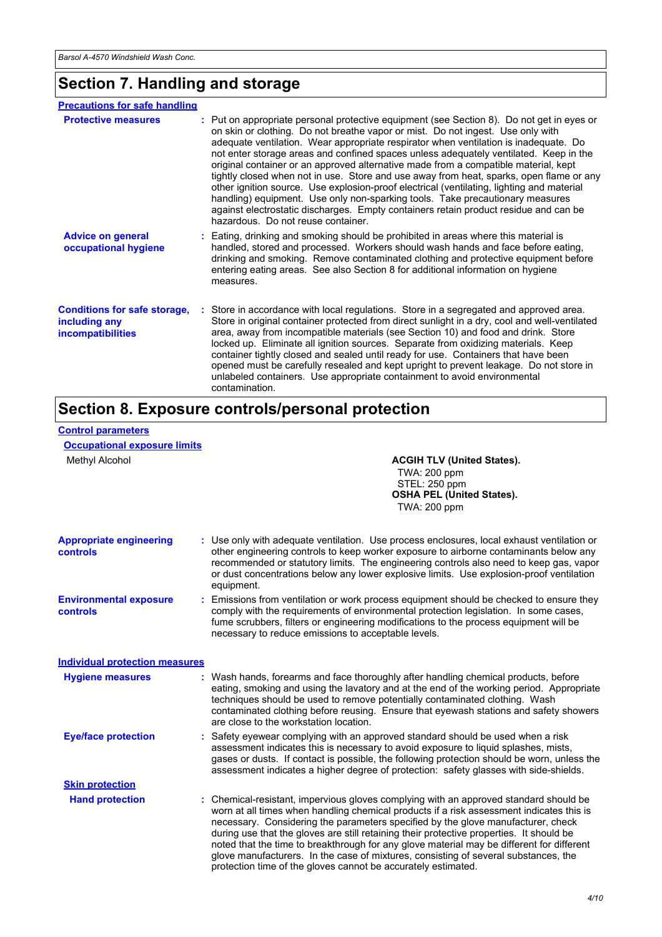### **Section 7. Handling and storage**

| <b>Precautions for safe handling</b>                                             |                                                                                                                                                                                                                                                                                                                                                                                                                                                                                                                                                                                                                                                                                                                                                                                                                                                             |
|----------------------------------------------------------------------------------|-------------------------------------------------------------------------------------------------------------------------------------------------------------------------------------------------------------------------------------------------------------------------------------------------------------------------------------------------------------------------------------------------------------------------------------------------------------------------------------------------------------------------------------------------------------------------------------------------------------------------------------------------------------------------------------------------------------------------------------------------------------------------------------------------------------------------------------------------------------|
| <b>Protective measures</b>                                                       | : Put on appropriate personal protective equipment (see Section 8). Do not get in eyes or<br>on skin or clothing. Do not breathe vapor or mist. Do not ingest. Use only with<br>adequate ventilation. Wear appropriate respirator when ventilation is inadequate. Do<br>not enter storage areas and confined spaces unless adequately ventilated. Keep in the<br>original container or an approved alternative made from a compatible material, kept<br>tightly closed when not in use. Store and use away from heat, sparks, open flame or any<br>other ignition source. Use explosion-proof electrical (ventilating, lighting and material<br>handling) equipment. Use only non-sparking tools. Take precautionary measures<br>against electrostatic discharges. Empty containers retain product residue and can be<br>hazardous. Do not reuse container. |
| <b>Advice on general</b><br>occupational hygiene                                 | : Eating, drinking and smoking should be prohibited in areas where this material is<br>handled, stored and processed. Workers should wash hands and face before eating,<br>drinking and smoking. Remove contaminated clothing and protective equipment before<br>entering eating areas. See also Section 8 for additional information on hygiene<br>measures.                                                                                                                                                                                                                                                                                                                                                                                                                                                                                               |
| <b>Conditions for safe storage,</b><br>including any<br><i>incompatibilities</i> | : Store in accordance with local regulations. Store in a segregated and approved area.<br>Store in original container protected from direct sunlight in a dry, cool and well-ventilated<br>area, away from incompatible materials (see Section 10) and food and drink. Store<br>locked up. Eliminate all ignition sources. Separate from oxidizing materials. Keep<br>container tightly closed and sealed until ready for use. Containers that have been<br>opened must be carefully resealed and kept upright to prevent leakage. Do not store in<br>unlabeled containers. Use appropriate containment to avoid environmental<br>contamination.                                                                                                                                                                                                            |

### **Section 8. Exposure controls/personal protection**

#### **Control parameters**

**Occupational exposure limits**

| Methyl Alcohol                                    | <b>ACGIH TLV (United States).</b><br>TWA: 200 ppm<br>STEL: 250 ppm<br><b>OSHA PEL (United States).</b><br><b>TWA: 200 ppm</b>                                                                                                                                                                                                                                                                                                                                                                                                                                                                                          |
|---------------------------------------------------|------------------------------------------------------------------------------------------------------------------------------------------------------------------------------------------------------------------------------------------------------------------------------------------------------------------------------------------------------------------------------------------------------------------------------------------------------------------------------------------------------------------------------------------------------------------------------------------------------------------------|
| <b>Appropriate engineering</b><br><b>controls</b> | : Use only with adequate ventilation. Use process enclosures, local exhaust ventilation or<br>other engineering controls to keep worker exposure to airborne contaminants below any<br>recommended or statutory limits. The engineering controls also need to keep gas, vapor<br>or dust concentrations below any lower explosive limits. Use explosion-proof ventilation<br>equipment.                                                                                                                                                                                                                                |
| <b>Environmental exposure</b><br>controls         | Emissions from ventilation or work process equipment should be checked to ensure they<br>÷.<br>comply with the requirements of environmental protection legislation. In some cases,<br>fume scrubbers, filters or engineering modifications to the process equipment will be<br>necessary to reduce emissions to acceptable levels.                                                                                                                                                                                                                                                                                    |
| <b>Individual protection measures</b>             |                                                                                                                                                                                                                                                                                                                                                                                                                                                                                                                                                                                                                        |
| <b>Hygiene measures</b>                           | Wash hands, forearms and face thoroughly after handling chemical products, before<br>eating, smoking and using the lavatory and at the end of the working period. Appropriate<br>techniques should be used to remove potentially contaminated clothing. Wash<br>contaminated clothing before reusing. Ensure that eyewash stations and safety showers<br>are close to the workstation location.                                                                                                                                                                                                                        |
| <b>Eye/face protection</b>                        | Safety eyewear complying with an approved standard should be used when a risk<br>assessment indicates this is necessary to avoid exposure to liquid splashes, mists,<br>gases or dusts. If contact is possible, the following protection should be worn, unless the<br>assessment indicates a higher degree of protection: safety glasses with side-shields.                                                                                                                                                                                                                                                           |
| <b>Skin protection</b>                            |                                                                                                                                                                                                                                                                                                                                                                                                                                                                                                                                                                                                                        |
| <b>Hand protection</b>                            | : Chemical-resistant, impervious gloves complying with an approved standard should be<br>worn at all times when handling chemical products if a risk assessment indicates this is<br>necessary. Considering the parameters specified by the glove manufacturer, check<br>during use that the gloves are still retaining their protective properties. It should be<br>noted that the time to breakthrough for any glove material may be different for different<br>glove manufacturers. In the case of mixtures, consisting of several substances, the<br>protection time of the gloves cannot be accurately estimated. |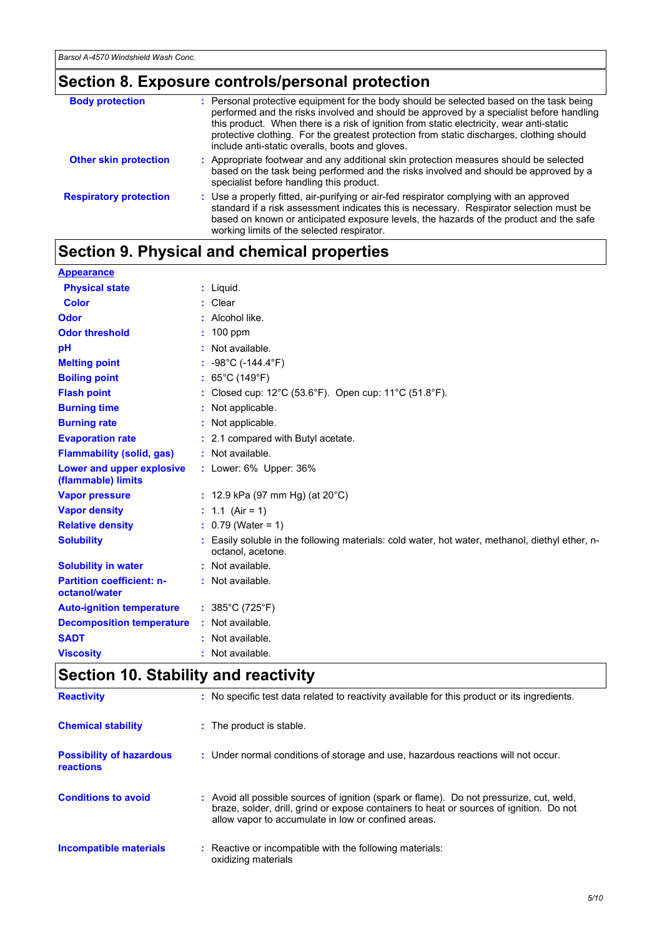### **Section 8. Exposure controls/personal protection**

| <b>Body protection</b>        | : Personal protective equipment for the body should be selected based on the task being<br>performed and the risks involved and should be approved by a specialist before handling<br>this product. When there is a risk of ignition from static electricity, wear anti-static<br>protective clothing. For the greatest protection from static discharges, clothing should<br>include anti-static overalls, boots and gloves. |
|-------------------------------|-------------------------------------------------------------------------------------------------------------------------------------------------------------------------------------------------------------------------------------------------------------------------------------------------------------------------------------------------------------------------------------------------------------------------------|
| <b>Other skin protection</b>  | : Appropriate footwear and any additional skin protection measures should be selected<br>based on the task being performed and the risks involved and should be approved by a<br>specialist before handling this product.                                                                                                                                                                                                     |
| <b>Respiratory protection</b> | : Use a properly fitted, air-purifying or air-fed respirator complying with an approved<br>standard if a risk assessment indicates this is necessary. Respirator selection must be<br>based on known or anticipated exposure levels, the hazards of the product and the safe<br>working limits of the selected respirator.                                                                                                    |

### **Section 9. Physical and chemical properties**

| <b>Appearance</b>                                 |                                                                                                                      |
|---------------------------------------------------|----------------------------------------------------------------------------------------------------------------------|
| <b>Physical state</b>                             | $:$ Liquid.                                                                                                          |
| <b>Color</b>                                      | : Clear                                                                                                              |
| <b>Odor</b>                                       | : Alcohol like.                                                                                                      |
| <b>Odor threshold</b>                             | $: 100$ ppm                                                                                                          |
| pH                                                | : Not available.                                                                                                     |
| <b>Melting point</b>                              | : $-98^{\circ}$ C ( $-144.4^{\circ}$ F)                                                                              |
| <b>Boiling point</b>                              | : $65^{\circ}$ C (149 $^{\circ}$ F)                                                                                  |
| <b>Flash point</b>                                | : Closed cup: $12^{\circ}$ C (53.6°F). Open cup: 11°C (51.8°F).                                                      |
| <b>Burning time</b>                               | : Not applicable.                                                                                                    |
| <b>Burning rate</b>                               | : Not applicable.                                                                                                    |
| <b>Evaporation rate</b>                           | : 2.1 compared with Butyl acetate.                                                                                   |
| <b>Flammability (solid, gas)</b>                  | : Not available.                                                                                                     |
| Lower and upper explosive<br>(flammable) limits   | : Lower: 6% Upper: 36%                                                                                               |
| <b>Vapor pressure</b>                             | : 12.9 kPa (97 mm Hg) (at $20^{\circ}$ C)                                                                            |
| <b>Vapor density</b>                              | : 1.1 $(Air = 1)$                                                                                                    |
| <b>Relative density</b>                           | $: 0.79$ (Water = 1)                                                                                                 |
| <b>Solubility</b>                                 | : Easily soluble in the following materials: cold water, hot water, methanol, diethyl ether, n-<br>octanol, acetone. |
| <b>Solubility in water</b>                        | : Not available.                                                                                                     |
| <b>Partition coefficient: n-</b><br>octanol/water | : Not available.                                                                                                     |
| <b>Auto-ignition temperature</b>                  | : $385^{\circ}$ C (725 $^{\circ}$ F)                                                                                 |
| <b>Decomposition temperature</b>                  | : Not available.                                                                                                     |
| <b>SADT</b>                                       | : Not available.                                                                                                     |
| <b>Viscosity</b>                                  | : Not available.                                                                                                     |

### **Section 10. Stability and reactivity**

| <b>Reactivity</b>                            | : No specific test data related to reactivity available for this product or its ingredients.                                                                                                                                               |
|----------------------------------------------|--------------------------------------------------------------------------------------------------------------------------------------------------------------------------------------------------------------------------------------------|
| <b>Chemical stability</b>                    | : The product is stable.                                                                                                                                                                                                                   |
| <b>Possibility of hazardous</b><br>reactions | : Under normal conditions of storage and use, hazardous reactions will not occur.                                                                                                                                                          |
| <b>Conditions to avoid</b>                   | : Avoid all possible sources of ignition (spark or flame). Do not pressurize, cut, weld,<br>braze, solder, drill, grind or expose containers to heat or sources of ignition. Do not<br>allow vapor to accumulate in low or confined areas. |
| Incompatible materials                       | : Reactive or incompatible with the following materials:<br>oxidizing materials                                                                                                                                                            |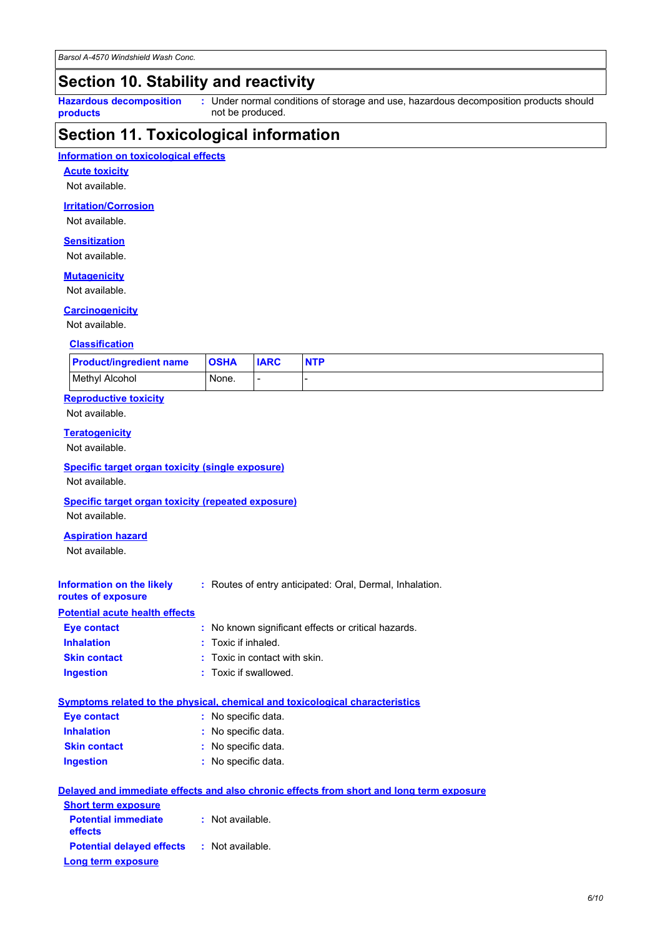### **Section 10. Stability and reactivity**

**Hazardous decomposition products**

Under normal conditions of storage and use, hazardous decomposition products should **:** not be produced.

### **Section 11. Toxicological information**

#### **Information on toxicological effects**

**Acute toxicity**

Not available.

#### **Irritation/Corrosion**

Not available.

#### **Sensitization**

Not available.

#### **Mutagenicity**

Not available.

#### **Carcinogenicity**

Not available.

#### **Classification**

| <b>Product/ingredient name</b> | <b>OSHA</b> | <b>IARC</b> | <b>NTP</b> |
|--------------------------------|-------------|-------------|------------|
| Methyl Alcohol                 | None.       | -           |            |

#### **Reproductive toxicity**

Not available.

#### **Teratogenicity**

Not available.

#### **Specific target organ toxicity (single exposure)**

Not available.

#### **Specific target organ toxicity (repeated exposure)**

Not available.

#### **Aspiration hazard**

Not available.

| Information on the likely | : Routes of entry anticipated: Oral, Dermal, Inhalation. |
|---------------------------|----------------------------------------------------------|
| routes of exposure        |                                                          |

#### **Potential acute health effects**

| <b>Eye contact</b>  | : No known significant effects or critical hazards. |
|---------------------|-----------------------------------------------------|
| <b>Inhalation</b>   | : Toxic if inhaled.                                 |
| <b>Skin contact</b> | : Toxic in contact with skin.                       |
| Ingestion           | : Toxic if swallowed.                               |

#### **Symptoms related to the physical, chemical and toxicological characteristics**

| <b>Eye contact</b>  | : No specific data. |
|---------------------|---------------------|
| <b>Inhalation</b>   | : No specific data. |
| <b>Skin contact</b> | : No specific data. |
| <b>Ingestion</b>    | : No specific data. |

|                                                   | Delayed and immediate effects and also chronic effects from short and long term exposure |
|---------------------------------------------------|------------------------------------------------------------------------------------------|
| <b>Short term exposure</b>                        |                                                                                          |
| <b>Potential immediate</b><br><b>effects</b>      | : Not available.                                                                         |
| <b>Potential delayed effects : Not available.</b> |                                                                                          |
| Long term exposure                                |                                                                                          |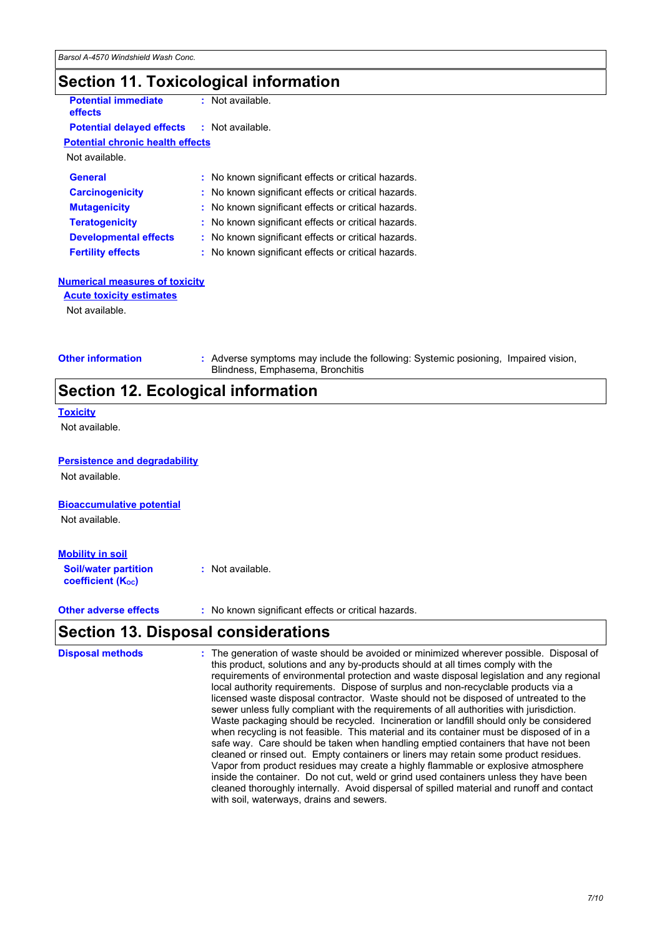### **Section 11. Toxicological information**

| <b>Potential immediate</b><br>effects   | : Not available.                                    |  |
|-----------------------------------------|-----------------------------------------------------|--|
| <b>Potential delayed effects</b>        | : Not available.                                    |  |
| <b>Potential chronic health effects</b> |                                                     |  |
| Not available.                          |                                                     |  |
| <b>General</b>                          | : No known significant effects or critical hazards. |  |
| <b>Carcinogenicity</b>                  | : No known significant effects or critical hazards. |  |
| <b>Mutagenicity</b>                     | : No known significant effects or critical hazards. |  |
| <b>Teratogenicity</b>                   | : No known significant effects or critical hazards. |  |
| <b>Developmental effects</b>            | : No known significant effects or critical hazards. |  |
| <b>Fertility effects</b>                | : No known significant effects or critical hazards. |  |
|                                         |                                                     |  |

#### **Numerical measures of toxicity**

**Acute toxicity estimates**

Not available.

**Other information <b>:** Adverse symptoms may include the following: Systemic posioning, Impaired vision, Blindness, Emphasema, Bronchitis

### **Section 12. Ecological information**

#### **Toxicity**

Not available.

#### **Persistence and degradability**

Not available.

#### **Bioaccumulative potential**

Not available.

#### **Mobility in soil**

**Soil/water partition coefficient (KOC) :** Not available.

**Other adverse effects** : No known significant effects or critical hazards.

### **Section 13. Disposal considerations**

The generation of waste should be avoided or minimized wherever possible. Disposal of this product, solutions and any by-products should at all times comply with the requirements of environmental protection and waste disposal legislation and any regional local authority requirements. Dispose of surplus and non-recyclable products via a licensed waste disposal contractor. Waste should not be disposed of untreated to the sewer unless fully compliant with the requirements of all authorities with jurisdiction. Waste packaging should be recycled. Incineration or landfill should only be considered when recycling is not feasible. This material and its container must be disposed of in a safe way. Care should be taken when handling emptied containers that have not been cleaned or rinsed out. Empty containers or liners may retain some product residues. Vapor from product residues may create a highly flammable or explosive atmosphere inside the container. Do not cut, weld or grind used containers unless they have been cleaned thoroughly internally. Avoid dispersal of spilled material and runoff and contact with soil, waterways, drains and sewers. **Disposal methods :**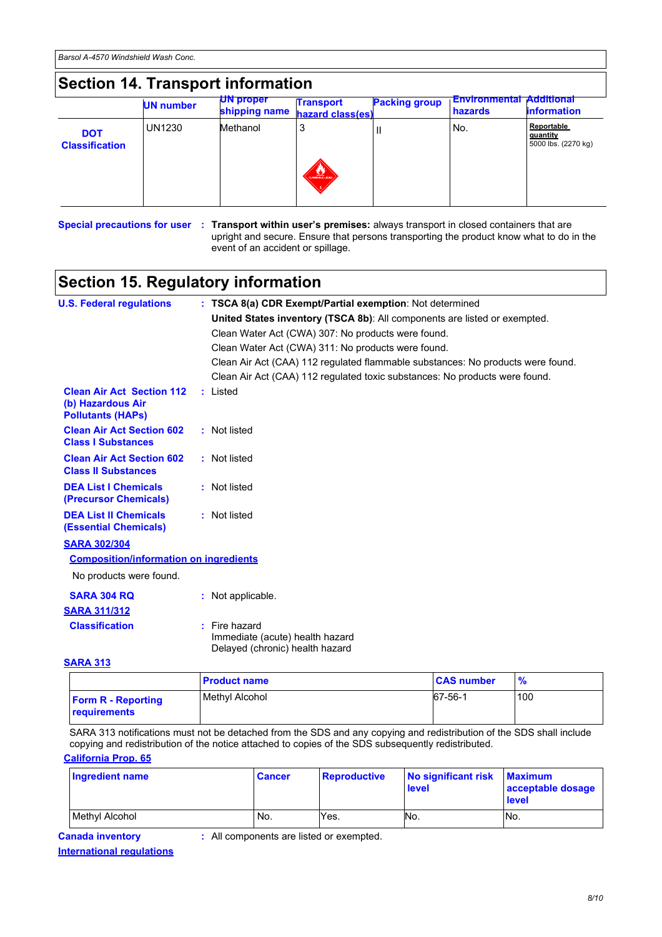#### **Section 14. Transport information DOT** UN1230 Methanol 3 |II **Classification UN number UN proper shipping name Transport hazard class(es) Additional information Environmental hazards** No. **Packing group Reportable quantity** 5000 lbs. (2270 kg)

Special precautions for user : Transport within user's premises: always transport in closed containers that are upright and secure. Ensure that persons transporting the product know what to do in the event of an accident or spillage.

### **Section 15. Regulatory information**

| <b>U.S. Federal regulations</b>                                                   | : TSCA 8(a) CDR Exempt/Partial exemption: Not determined                              |
|-----------------------------------------------------------------------------------|---------------------------------------------------------------------------------------|
|                                                                                   | United States inventory (TSCA 8b): All components are listed or exempted.             |
|                                                                                   | Clean Water Act (CWA) 307: No products were found.                                    |
|                                                                                   | Clean Water Act (CWA) 311: No products were found.                                    |
|                                                                                   | Clean Air Act (CAA) 112 regulated flammable substances: No products were found.       |
|                                                                                   | Clean Air Act (CAA) 112 regulated toxic substances: No products were found.           |
| <b>Clean Air Act Section 112</b><br>(b) Hazardous Air<br><b>Pollutants (HAPs)</b> | : Listed                                                                              |
| <b>Clean Air Act Section 602</b><br><b>Class I Substances</b>                     | : Not listed                                                                          |
| <b>Clean Air Act Section 602</b><br><b>Class II Substances</b>                    | : Not listed                                                                          |
| <b>DEA List I Chemicals</b><br>(Precursor Chemicals)                              | : Not listed                                                                          |
| <b>DEA List II Chemicals</b><br><b>(Essential Chemicals)</b>                      | : Not listed                                                                          |
| <b>SARA 302/304</b>                                                               |                                                                                       |
| <b>Composition/information on ingredients</b>                                     |                                                                                       |
| No products were found.                                                           |                                                                                       |
| <b>SARA 304 RQ</b>                                                                | : Not applicable.                                                                     |
| <b>SARA 311/312</b>                                                               |                                                                                       |
| <b>Classification</b>                                                             | $:$ Fire hazard<br>Immediate (acute) health hazard<br>Delayed (chronic) health hazard |

#### **SARA 313**

|                                                  | <b>Product name</b>   | <b>CAS number</b> |     |
|--------------------------------------------------|-----------------------|-------------------|-----|
| <b>Form R - Reporting</b><br><b>requirements</b> | <b>Methyl Alcohol</b> | 67-56-1           | 100 |

SARA 313 notifications must not be detached from the SDS and any copying and redistribution of the SDS shall include copying and redistribution of the notice attached to copies of the SDS subsequently redistributed.

#### **California Prop. 65**

| Ingredient name       | <b>Cancer</b> | <b>Reproductive</b> | No significant risk<br>level | <b>Maximum</b><br>acceptable dosage<br><b>level</b> |
|-----------------------|---------------|---------------------|------------------------------|-----------------------------------------------------|
| <b>Methyl Alcohol</b> | No.           | Yes.                | No.                          | INo.                                                |

**International regulations**

**Canada inventory :** All components are listed or exempted.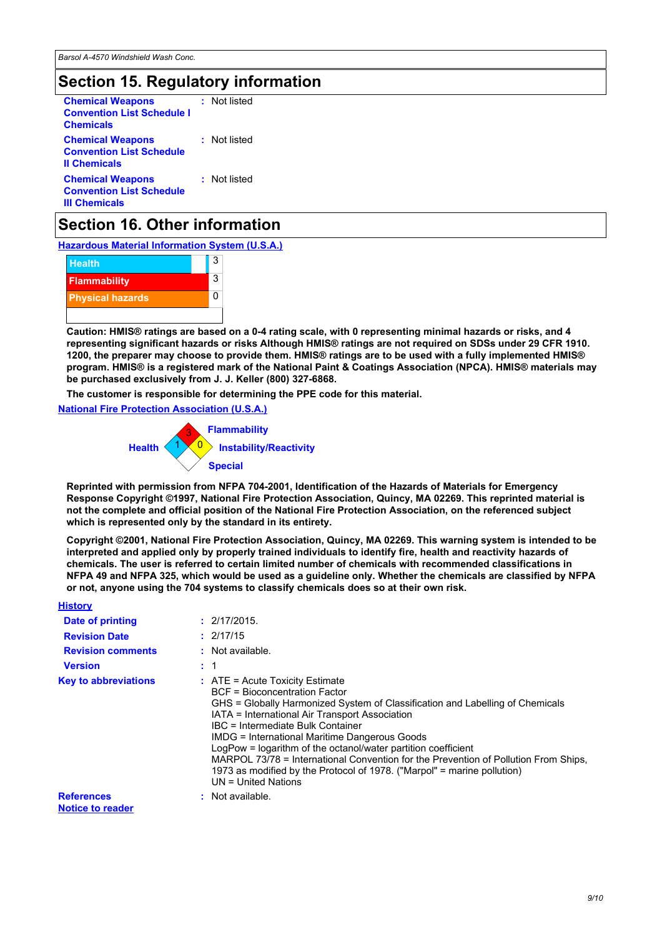### **Section 15. Regulatory information**

| : Not listed |  |
|--------------|--|
| : Not listed |  |
| : Not listed |  |
|              |  |

### **Section 16. Other information**

**Hazardous Material Information System (U.S.A.)**

| <b>Health</b>           | 3 |
|-------------------------|---|
| <b>Flammability</b>     | 3 |
| <b>Physical hazards</b> |   |
|                         |   |

**Caution: HMIS® ratings are based on a 0-4 rating scale, with 0 representing minimal hazards or risks, and 4 representing significant hazards or risks Although HMIS® ratings are not required on SDSs under 29 CFR 1910. 1200, the preparer may choose to provide them. HMIS® ratings are to be used with a fully implemented HMIS® program. HMIS® is a registered mark of the National Paint & Coatings Association (NPCA). HMIS® materials may be purchased exclusively from J. J. Keller (800) 327-6868.**

**The customer is responsible for determining the PPE code for this material.**

#### **National Fire Protection Association (U.S.A.)**



**Reprinted with permission from NFPA 704-2001, Identification of the Hazards of Materials for Emergency Response Copyright ©1997, National Fire Protection Association, Quincy, MA 02269. This reprinted material is not the complete and official position of the National Fire Protection Association, on the referenced subject which is represented only by the standard in its entirety.**

**Copyright ©2001, National Fire Protection Association, Quincy, MA 02269. This warning system is intended to be interpreted and applied only by properly trained individuals to identify fire, health and reactivity hazards of chemicals. The user is referred to certain limited number of chemicals with recommended classifications in NFPA 49 and NFPA 325, which would be used as a guideline only. Whether the chemicals are classified by NFPA or not, anyone using the 704 systems to classify chemicals does so at their own risk.**

| <b>History</b>              |                                                                                                                                                                                                                                                                                                                                                                                                                                                                                                                                                                       |
|-----------------------------|-----------------------------------------------------------------------------------------------------------------------------------------------------------------------------------------------------------------------------------------------------------------------------------------------------------------------------------------------------------------------------------------------------------------------------------------------------------------------------------------------------------------------------------------------------------------------|
| Date of printing            | : 2/17/2015.                                                                                                                                                                                                                                                                                                                                                                                                                                                                                                                                                          |
| <b>Revision Date</b>        | : 2/17/15                                                                                                                                                                                                                                                                                                                                                                                                                                                                                                                                                             |
| <b>Revision comments</b>    | : Not available.                                                                                                                                                                                                                                                                                                                                                                                                                                                                                                                                                      |
| <b>Version</b>              | : 1                                                                                                                                                                                                                                                                                                                                                                                                                                                                                                                                                                   |
| <b>Key to abbreviations</b> | $\therefore$ ATE = Acute Toxicity Estimate<br><b>BCF</b> = Bioconcentration Factor<br>GHS = Globally Harmonized System of Classification and Labelling of Chemicals<br>IATA = International Air Transport Association<br>IBC = Intermediate Bulk Container<br>IMDG = International Maritime Dangerous Goods<br>LogPow = logarithm of the octanol/water partition coefficient<br>MARPOL 73/78 = International Convention for the Prevention of Pollution From Ships,<br>1973 as modified by the Protocol of 1978. ("Marpol" = marine pollution)<br>UN = United Nations |
| <b>References</b>           | : Not available.                                                                                                                                                                                                                                                                                                                                                                                                                                                                                                                                                      |
| <b>Notice to reader</b>     |                                                                                                                                                                                                                                                                                                                                                                                                                                                                                                                                                                       |